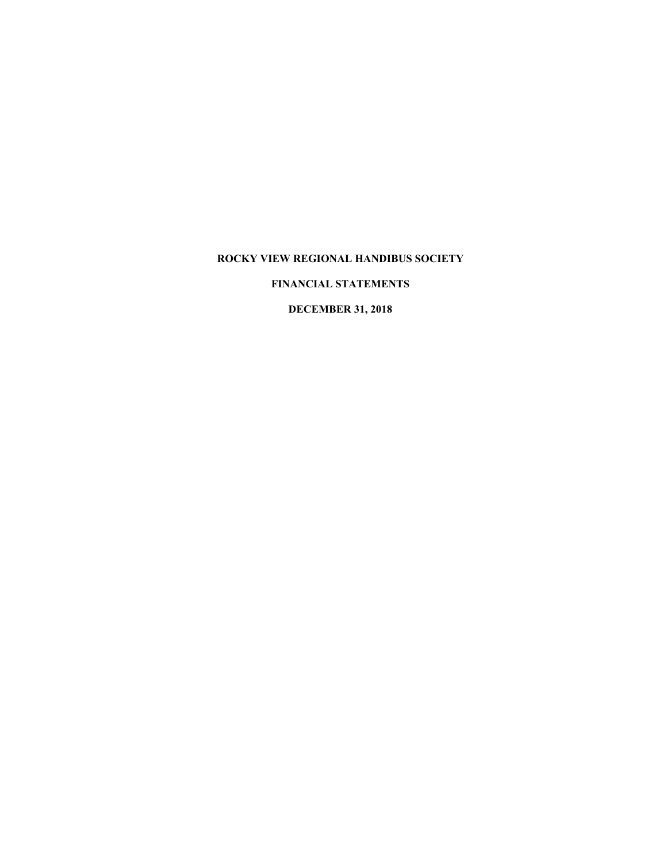# **FINANCIAL STATEMENTS**

# **DECEMBER 31, 2018**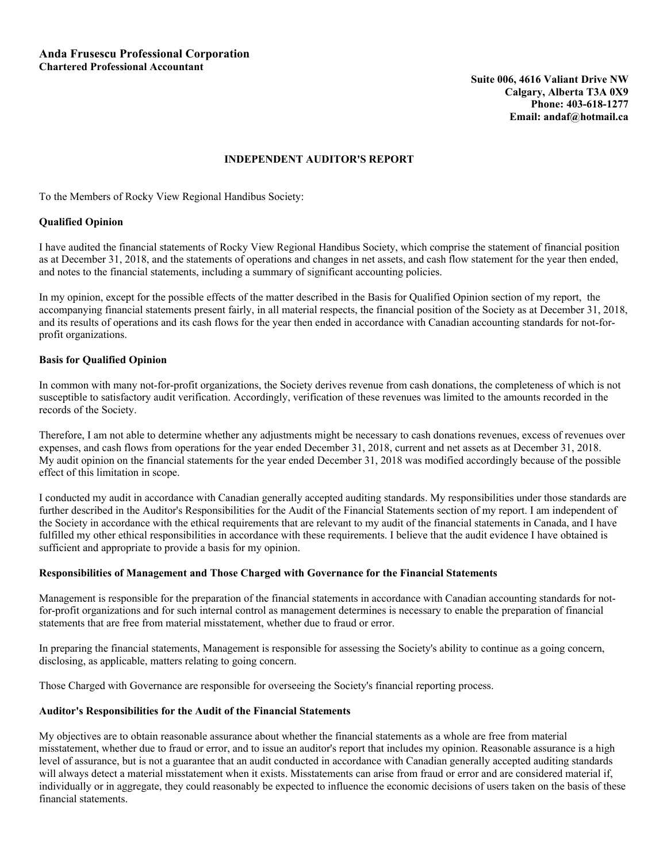**Suite 006, 4616 Valiant Drive NW Calgary, Alberta T3A 0X9 Phone: 403-618-1277 Email: andaf@hotmail.ca**

## **INDEPENDENT AUDITOR'S REPORT**

To the Members of Rocky View Regional Handibus Society:

## **Qualified Opinion**

I have audited the financial statements of Rocky View Regional Handibus Society, which comprise the statement of financial position as at December 31, 2018, and the statements of operations and changes in net assets, and cash flow statement for the year then ended, and notes to the financial statements, including a summary of significant accounting policies.

In my opinion, except for the possible effects of the matter described in the Basis for Qualified Opinion section of my report, the accompanying financial statements present fairly, in all material respects, the financial position of the Society as at December 31, 2018, and its results of operations and its cash flows for the year then ended in accordance with Canadian accounting standards for not-forprofit organizations.

## **Basis for Qualified Opinion**

In common with many not-for-profit organizations, the Society derives revenue from cash donations, the completeness of which is not susceptible to satisfactory audit verification. Accordingly, verification of these revenues was limited to the amounts recorded in the records of the Society.

Therefore, I am not able to determine whether any adjustments might be necessary to cash donations revenues, excess of revenues over expenses, and cash flows from operations for the year ended December 31, 2018, current and net assets as at December 31, 2018. My audit opinion on the financial statements for the year ended December 31, 2018 was modified accordingly because of the possible effect of this limitation in scope.

I conducted my audit in accordance with Canadian generally accepted auditing standards. My responsibilities under those standards are further described in the Auditor's Responsibilities for the Audit of the Financial Statements section of my report. I am independent of the Society in accordance with the ethical requirements that are relevant to my audit of the financial statements in Canada, and I have fulfilled my other ethical responsibilities in accordance with these requirements. I believe that the audit evidence I have obtained is sufficient and appropriate to provide a basis for my opinion.

#### **Responsibilities of Management and Those Charged with Governance for the Financial Statements**

Management is responsible for the preparation of the financial statements in accordance with Canadian accounting standards for notfor-profit organizations and for such internal control as management determines is necessary to enable the preparation of financial statements that are free from material misstatement, whether due to fraud or error.

In preparing the financial statements, Management is responsible for assessing the Society's ability to continue as a going concern, disclosing, as applicable, matters relating to going concern.

Those Charged with Governance are responsible for overseeing the Society's financial reporting process.

#### **Auditor's Responsibilities for the Audit of the Financial Statements**

My objectives are to obtain reasonable assurance about whether the financial statements as a whole are free from material misstatement, whether due to fraud or error, and to issue an auditor's report that includes my opinion. Reasonable assurance is a high level of assurance, but is not a guarantee that an audit conducted in accordance with Canadian generally accepted auditing standards will always detect a material misstatement when it exists. Misstatements can arise from fraud or error and are considered material if, individually or in aggregate, they could reasonably be expected to influence the economic decisions of users taken on the basis of these financial statements.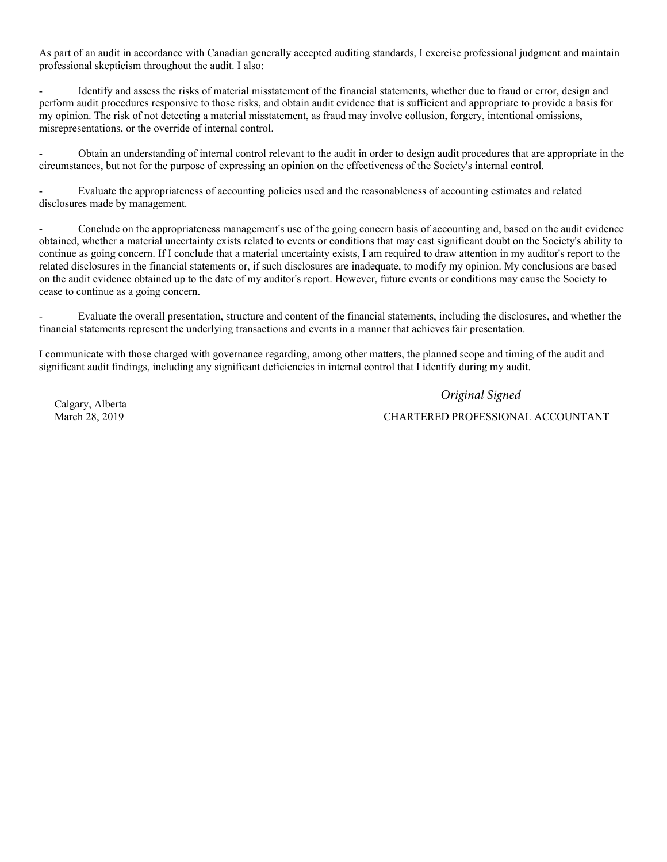As part of an audit in accordance with Canadian generally accepted auditing standards, I exercise professional judgment and maintain professional skepticism throughout the audit. I also:

- Identify and assess the risks of material misstatement of the financial statements, whether due to fraud or error, design and perform audit procedures responsive to those risks, and obtain audit evidence that is sufficient and appropriate to provide a basis for my opinion. The risk of not detecting a material misstatement, as fraud may involve collusion, forgery, intentional omissions, misrepresentations, or the override of internal control.

- Obtain an understanding of internal control relevant to the audit in order to design audit procedures that are appropriate in the circumstances, but not for the purpose of expressing an opinion on the effectiveness of the Society's internal control.

- Evaluate the appropriateness of accounting policies used and the reasonableness of accounting estimates and related disclosures made by management.

- Conclude on the appropriateness management's use of the going concern basis of accounting and, based on the audit evidence obtained, whether a material uncertainty exists related to events or conditions that may cast significant doubt on the Society's ability to continue as going concern. If I conclude that a material uncertainty exists, I am required to draw attention in my auditor's report to the related disclosures in the financial statements or, if such disclosures are inadequate, to modify my opinion. My conclusions are based on the audit evidence obtained up to the date of my auditor's report. However, future events or conditions may cause the Society to cease to continue as a going concern.

- Evaluate the overall presentation, structure and content of the financial statements, including the disclosures, and whether the financial statements represent the underlying transactions and events in a manner that achieves fair presentation.

I communicate with those charged with governance regarding, among other matters, the planned scope and timing of the audit and significant audit findings, including any significant deficiencies in internal control that I identify during my audit.

Calgary, Alberta

*Original Signed*

March 28, 2019 CHARTERED PROFESSIONAL ACCOUNTANT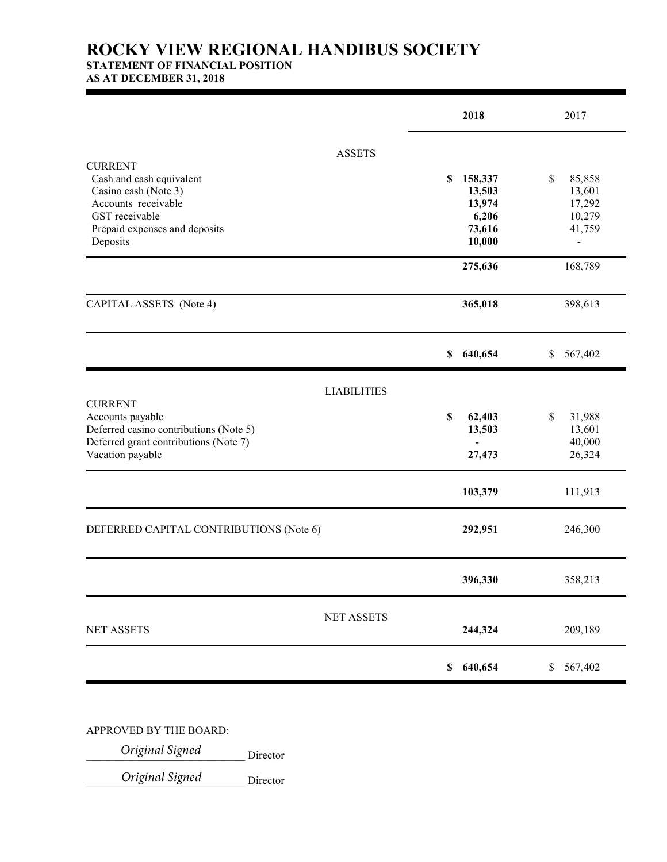# **STATEMENT OF FINANCIAL POSITION**

**AS AT DECEMBER 31, 2018**

|                                                                                                                                                          | 2018                                                           | 2017                                                                             |
|----------------------------------------------------------------------------------------------------------------------------------------------------------|----------------------------------------------------------------|----------------------------------------------------------------------------------|
| <b>ASSETS</b>                                                                                                                                            |                                                                |                                                                                  |
| <b>CURRENT</b><br>Cash and cash equivalent<br>Casino cash (Note 3)<br>Accounts receivable<br>GST receivable<br>Prepaid expenses and deposits<br>Deposits | \$<br>158,337<br>13,503<br>13,974<br>6,206<br>73,616<br>10,000 | \$<br>85,858<br>13,601<br>17,292<br>10,279<br>41,759<br>$\overline{\phantom{0}}$ |
|                                                                                                                                                          | 275,636                                                        | 168,789                                                                          |
| CAPITAL ASSETS (Note 4)                                                                                                                                  | 365,018                                                        | 398,613                                                                          |
|                                                                                                                                                          | \$<br>640,654                                                  | 567,402<br>\$                                                                    |
| <b>LIABILITIES</b>                                                                                                                                       |                                                                |                                                                                  |
| <b>CURRENT</b><br>Accounts payable<br>Deferred casino contributions (Note 5)<br>Deferred grant contributions (Note 7)<br>Vacation payable                | $\mathbf S$<br>62,403<br>13,503<br>$\overline{a}$<br>27,473    | $\mathsf{\$}$<br>31,988<br>13,601<br>40,000<br>26,324                            |
|                                                                                                                                                          | 103,379                                                        | 111,913                                                                          |
| DEFERRED CAPITAL CONTRIBUTIONS (Note 6)                                                                                                                  | 292,951                                                        | 246,300                                                                          |
|                                                                                                                                                          | 396,330                                                        | 358,213                                                                          |
| <b>NET ASSETS</b><br><b>NET ASSETS</b>                                                                                                                   | 244,324                                                        | 209,189                                                                          |
|                                                                                                                                                          | \$640,654                                                      | \$567,402                                                                        |

APPROVED BY THE BOARD:

\_\_\_\_\_\_\_\_\_\_\_\_\_\_\_\_\_\_\_\_\_\_\_\_\_\_\_\_\_ Director *Original Signed*

\_\_\_\_\_\_\_\_\_\_\_\_\_\_\_\_\_\_\_\_\_\_\_\_\_\_\_\_\_ Director *Original Signed*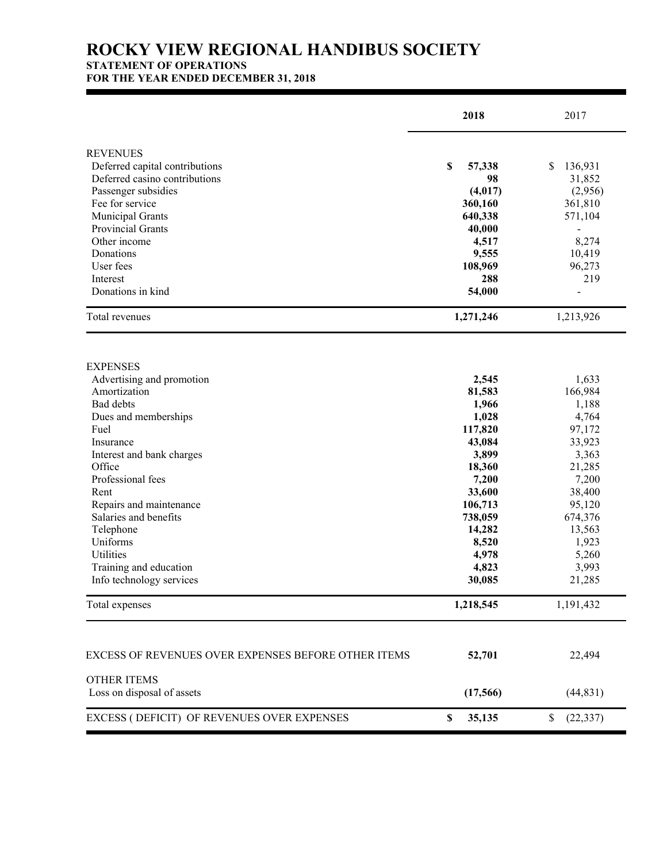# **STATEMENT OF OPERATIONS**

**FOR THE YEAR ENDED DECEMBER 31, 2018**

|                                                     | 2018               | 2017              |
|-----------------------------------------------------|--------------------|-------------------|
| <b>REVENUES</b>                                     |                    |                   |
| Deferred capital contributions                      | \$<br>57,338       | \$<br>136,931     |
| Deferred casino contributions                       | 98                 | 31,852            |
| Passenger subsidies                                 | (4,017)            | (2,956)           |
| Fee for service                                     | 360,160            | 361,810           |
| <b>Municipal Grants</b>                             | 640,338            | 571,104           |
| <b>Provincial Grants</b>                            | 40,000             | $\blacksquare$    |
| Other income                                        | 4,517              | 8,274             |
| Donations                                           | 9,555              | 10,419            |
| User fees                                           | 108,969            | 96,273            |
| Interest                                            | 288                | 219               |
| Donations in kind                                   | 54,000             | $\frac{1}{2}$     |
| Total revenues                                      | 1,271,246          | 1,213,926         |
| <b>EXPENSES</b>                                     |                    |                   |
| Advertising and promotion                           | 2,545              | 1,633             |
| Amortization                                        | 81,583             | 166,984           |
| Bad debts                                           | 1,966              | 1,188             |
| Dues and memberships                                | 1,028              | 4,764             |
| Fuel                                                | 117,820            | 97,172            |
| Insurance                                           | 43,084             | 33,923            |
| Interest and bank charges                           | 3,899              | 3,363             |
| Office                                              | 18,360             | 21,285            |
| Professional fees                                   | 7,200              | 7,200             |
| Rent                                                | 33,600             | 38,400            |
| Repairs and maintenance<br>Salaries and benefits    | 106,713<br>738,059 | 95,120<br>674,376 |
| Telephone                                           | 14,282             | 13,563            |
| Uniforms                                            | 8,520              | 1,923             |
| Utilities                                           | 4,978              | 5,260             |
| Training and education                              | 4,823              | 3,993             |
| Info technology services                            | 30,085             | 21,285            |
| Total expenses                                      | 1,218,545          | 1,191,432         |
| EXCESS OF REVENUES OVER EXPENSES BEFORE OTHER ITEMS | 52,701             | 22,494            |
|                                                     |                    |                   |
| <b>OTHER ITEMS</b><br>Loss on disposal of assets    | (17,566)           | (44, 831)         |
| EXCESS (DEFICIT) OF REVENUES OVER EXPENSES          | \$<br>35,135       | \$<br>(22, 337)   |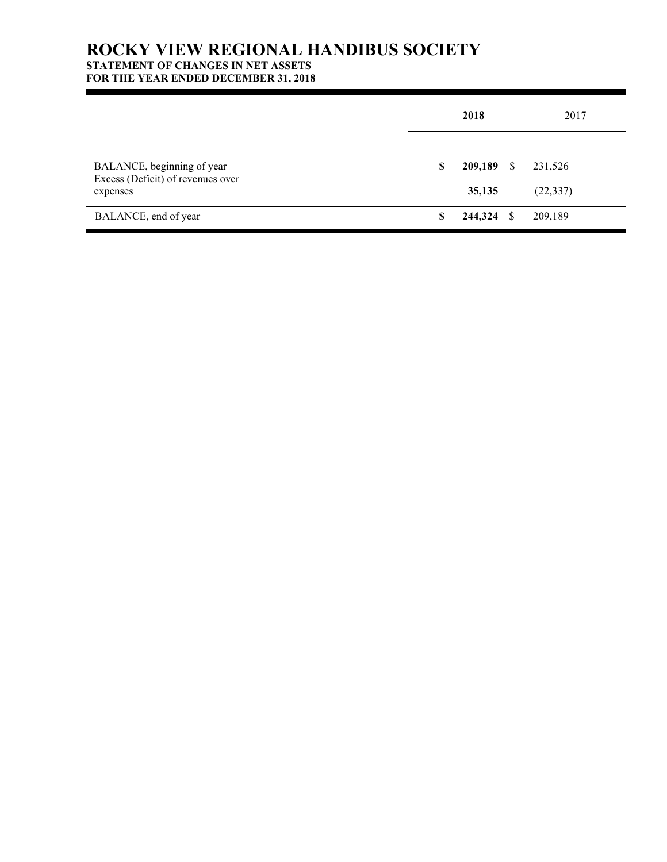# **STATEMENT OF CHANGES IN NET ASSETS**

**FOR THE YEAR ENDED DECEMBER 31, 2018**

|                                                                             | 2018 |                        |  | 2017                 |  |
|-----------------------------------------------------------------------------|------|------------------------|--|----------------------|--|
| BALANCE, beginning of year<br>Excess (Deficit) of revenues over<br>expenses | S    | $209,189$ \$<br>35,135 |  | 231,526<br>(22, 337) |  |
| BALANCE, end of year                                                        |      | 244,324 \$             |  | 209,189              |  |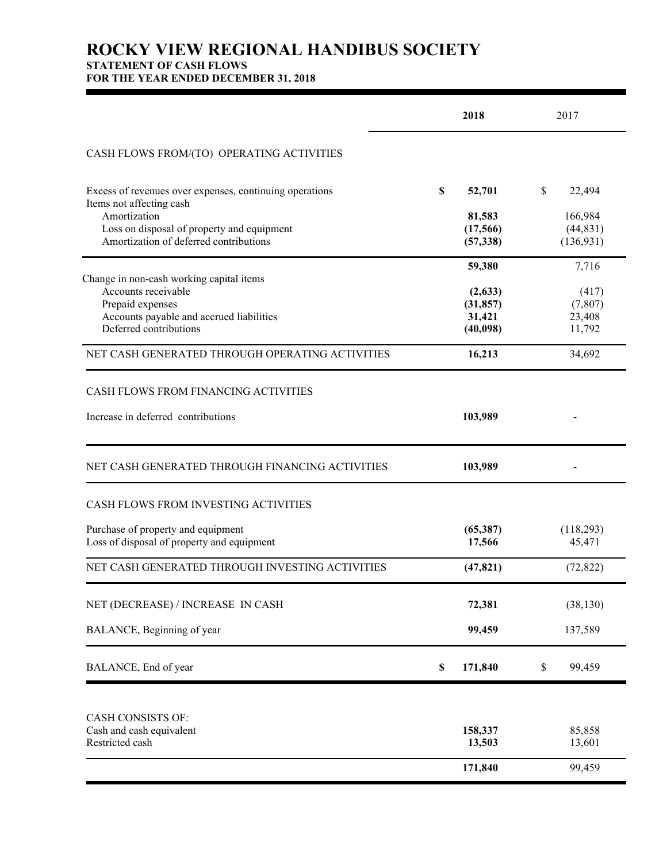# **STATEMENT OF CASH FLOWS**

**FOR THE YEAR ENDED DECEMBER 31, 2018**

| \$<br>52,701<br>81,583<br>(17, 566)<br>(57, 338)<br>59,380<br>(2,633)<br>(31, 857)<br>31,421<br>(40,098)<br>16,213 | 22,494<br>166,984<br>(44, 831)<br>(136, 931)<br>7,716<br>(417)<br>(7, 807)<br>23,408<br>11,792<br>34,692 |
|--------------------------------------------------------------------------------------------------------------------|----------------------------------------------------------------------------------------------------------|
|                                                                                                                    |                                                                                                          |
|                                                                                                                    |                                                                                                          |
|                                                                                                                    |                                                                                                          |
|                                                                                                                    |                                                                                                          |
| 103,989                                                                                                            |                                                                                                          |
| 103,989                                                                                                            |                                                                                                          |
|                                                                                                                    |                                                                                                          |
| (65,387)<br>17,566                                                                                                 | (118,293)<br>45,471                                                                                      |
| (47, 821)                                                                                                          | (72, 822)                                                                                                |
| 72,381                                                                                                             | (38, 130)<br>137,589                                                                                     |
| \$                                                                                                                 | 99,459                                                                                                   |
|                                                                                                                    | 85,858<br>13,601                                                                                         |
|                                                                                                                    | 99,459<br>171,840<br>158,337<br>13,503                                                                   |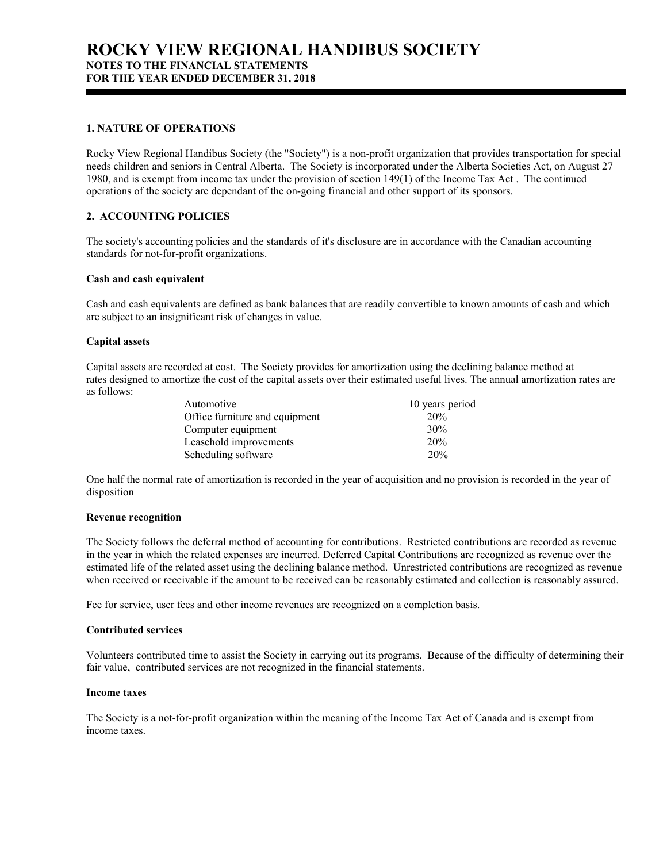# **ROCKY VIEW REGIONAL HANDIBUS SOCIETY NOTES TO THE FINANCIAL STATEMENTS FOR THE YEAR ENDED DECEMBER 31, 2018**

## **1. NATURE OF OPERATIONS**

Rocky View Regional Handibus Society (the "Society") is a non-profit organization that provides transportation for special needs children and seniors in Central Alberta. The Society is incorporated under the Alberta Societies Act, on August 27 1980, and is exempt from income tax under the provision of section 149(1) of the Income Tax Act . The continued operations of the society are dependant of the on-going financial and other support of its sponsors.

# **2. ACCOUNTING POLICIES**

The society's accounting policies and the standards of it's disclosure are in accordance with the Canadian accounting standards for not-for-profit organizations.

#### **Cash and cash equivalent**

Cash and cash equivalents are defined as bank balances that are readily convertible to known amounts of cash and which are subject to an insignificant risk of changes in value.

#### **Capital assets**

Capital assets are recorded at cost. The Society provides for amortization using the declining balance method at rates designed to amortize the cost of the capital assets over their estimated useful lives. The annual amortization rates are as follows:

| Automotive                     | 10 years period |
|--------------------------------|-----------------|
| Office furniture and equipment | 20%             |
| Computer equipment             | 30%             |
| Leasehold improvements         | 20%             |
| Scheduling software            | 20%             |

One half the normal rate of amortization is recorded in the year of acquisition and no provision is recorded in the year of disposition

#### **Revenue recognition**

The Society follows the deferral method of accounting for contributions. Restricted contributions are recorded as revenue in the year in which the related expenses are incurred. Deferred Capital Contributions are recognized as revenue over the estimated life of the related asset using the declining balance method. Unrestricted contributions are recognized as revenue when received or receivable if the amount to be received can be reasonably estimated and collection is reasonably assured.

Fee for service, user fees and other income revenues are recognized on a completion basis.

#### **Contributed services**

Volunteers contributed time to assist the Society in carrying out its programs. Because of the difficulty of determining their fair value, contributed services are not recognized in the financial statements.

#### **Income taxes**

The Society is a not-for-profit organization within the meaning of the Income Tax Act of Canada and is exempt from income taxes.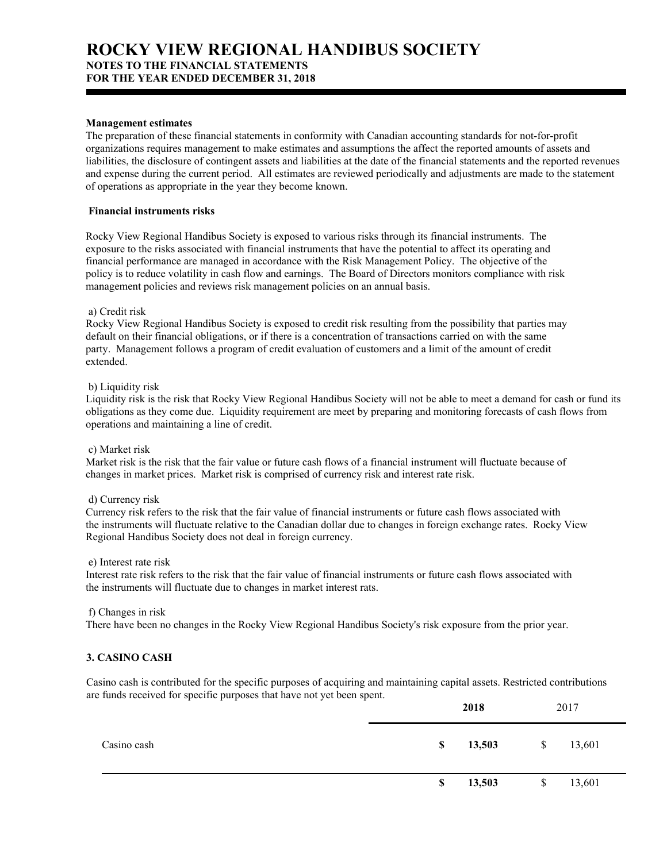# **ROCKY VIEW REGIONAL HANDIBUS SOCIETY NOTES TO THE FINANCIAL STATEMENTS FOR THE YEAR ENDED DECEMBER 31, 2018**

#### **Management estimates**

The preparation of these financial statements in conformity with Canadian accounting standards for not-for-profit organizations requires management to make estimates and assumptions the affect the reported amounts of assets and liabilities, the disclosure of contingent assets and liabilities at the date of the financial statements and the reported revenues and expense during the current period. All estimates are reviewed periodically and adjustments are made to the statement of operations as appropriate in the year they become known.

#### **Financial instruments risks**

Rocky View Regional Handibus Society is exposed to various risks through its financial instruments. The exposure to the risks associated with financial instruments that have the potential to affect its operating and financial performance are managed in accordance with the Risk Management Policy. The objective of the policy is to reduce volatility in cash flow and earnings. The Board of Directors monitors compliance with risk management policies and reviews risk management policies on an annual basis.

#### a) Credit risk

Rocky View Regional Handibus Society is exposed to credit risk resulting from the possibility that parties may default on their financial obligations, or if there is a concentration of transactions carried on with the same party. Management follows a program of credit evaluation of customers and a limit of the amount of credit extended.

#### b) Liquidity risk

Liquidity risk is the risk that Rocky View Regional Handibus Society will not be able to meet a demand for cash or fund its obligations as they come due. Liquidity requirement are meet by preparing and monitoring forecasts of cash flows from operations and maintaining a line of credit.

#### c) Market risk

Market risk is the risk that the fair value or future cash flows of a financial instrument will fluctuate because of changes in market prices. Market risk is comprised of currency risk and interest rate risk.

#### d) Currency risk

Currency risk refers to the risk that the fair value of financial instruments or future cash flows associated with the instruments will fluctuate relative to the Canadian dollar due to changes in foreign exchange rates. Rocky View Regional Handibus Society does not deal in foreign currency.

#### e) Interest rate risk

Interest rate risk refers to the risk that the fair value of financial instruments or future cash flows associated with the instruments will fluctuate due to changes in market interest rats.

#### f) Changes in risk

There have been no changes in the Rocky View Regional Handibus Society's risk exposure from the prior year.

## **3. CASINO CASH**

Casino cash is contributed for the specific purposes of acquiring and maintaining capital assets. Restricted contributions are funds received for specific purposes that have not yet been spent.

|             | 2018         |              | 2017   |  |
|-------------|--------------|--------------|--------|--|
| Casino cash | \$<br>13,503 | $\mathbb{S}$ | 13,601 |  |
|             | \$<br>13,503 | \$           | 13,601 |  |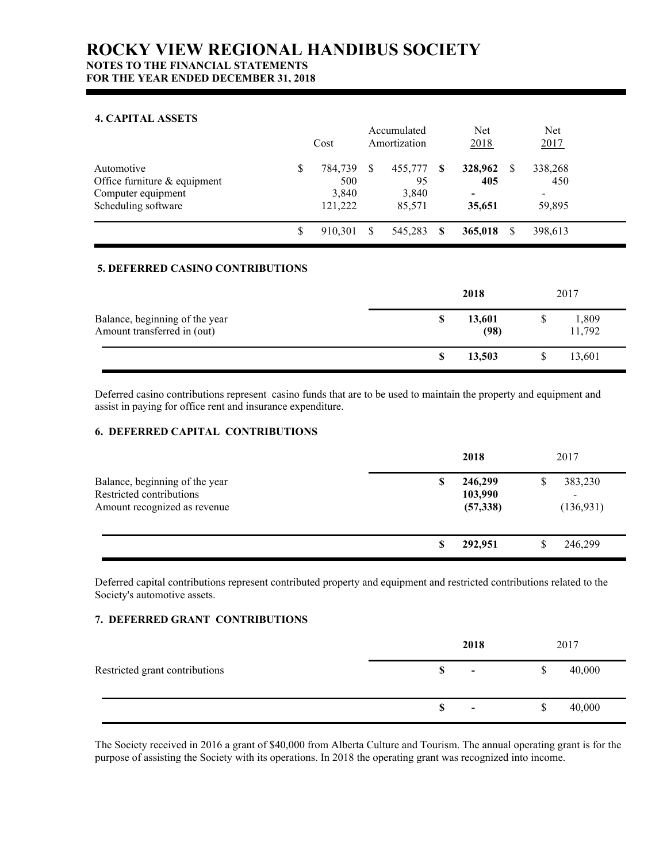# **ROCKY VIEW REGIONAL HANDIBUS SOCIETY NOTES TO THE FINANCIAL STATEMENTS FOR THE YEAR ENDED DECEMBER 31, 2018**

## **4. CAPITAL ASSETS**

|                                              | Cost             | Accumulated<br>Amortization |    | Net<br>2018              | Net<br>2017    |  |
|----------------------------------------------|------------------|-----------------------------|----|--------------------------|----------------|--|
| Automotive<br>Office furniture $&$ equipment | 784.739<br>500   | 455,777 \$<br>95            |    | 328,962<br>405           | 338,268<br>450 |  |
| Computer equipment<br>Scheduling software    | 3,840<br>121,222 | 3,840<br>85,571             |    | $\blacksquare$<br>35,651 | 59,895         |  |
|                                              | 910.301          | 545.283                     | -S | 365,018                  | 398,613        |  |

# **5. DEFERRED CASINO CONTRIBUTIONS**

|                                                               | 2018           | 2017            |
|---------------------------------------------------------------|----------------|-----------------|
| Balance, beginning of the year<br>Amount transferred in (out) | 13,601<br>(98) | 1,809<br>11,792 |
|                                                               | 13,503         | 13,601          |

Deferred casino contributions represent casino funds that are to be used to maintain the property and equipment and assist in paying for office rent and insurance expenditure.

# **6. DEFERRED CAPITAL CONTRIBUTIONS**

|                                                                                            |    | 2018                            | 2017                                              |
|--------------------------------------------------------------------------------------------|----|---------------------------------|---------------------------------------------------|
| Balance, beginning of the year<br>Restricted contributions<br>Amount recognized as revenue | S  | 246,299<br>103,990<br>(57, 338) | 383,230<br>$\overline{\phantom{0}}$<br>(136, 931) |
|                                                                                            | \$ | 292,951                         | 246,299                                           |

Deferred capital contributions represent contributed property and equipment and restricted contributions related to the Society's automotive assets.

## **7. DEFERRED GRANT CONTRIBUTIONS**

|                                |   | 2018                     | 2017         |
|--------------------------------|---|--------------------------|--------------|
| Restricted grant contributions | S | $\blacksquare$           | 40,000<br>\$ |
|                                | S | $\overline{\phantom{a}}$ | 40,000<br>S  |

The Society received in 2016 a grant of \$40,000 from Alberta Culture and Tourism. The annual operating grant is for the purpose of assisting the Society with its operations. In 2018 the operating grant was recognized into income.